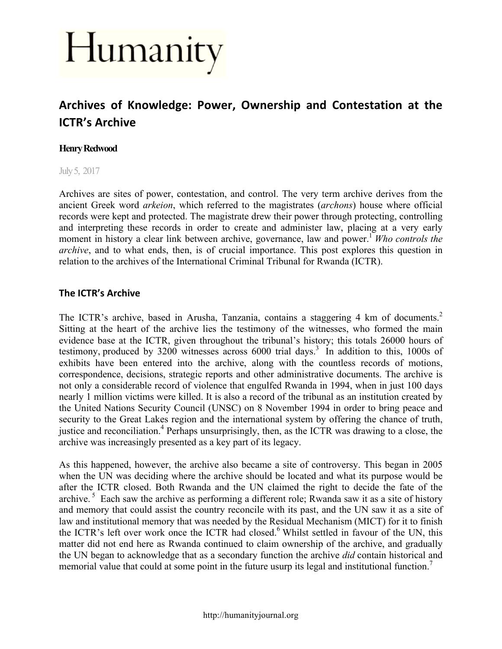# Humanity

## Archives of Knowledge: Power, Ownership and Contestation at the **ICTR's Archive**

#### **Henry Redwood**

July 5, 2017

Archives are sites of power, contestation, and control. The very term archive derives from the ancient Greek word *arkeion*, which referred to the magistrates (*archons*) house where official records were kept and protected. The magistrate drew their power through protecting, controlling and interpreting these records in order to create and administer law, placing at a very early moment in history a clear link between archive, governance, law and power.<sup>1</sup> *Who controls the archive*, and to what ends, then, is of crucial importance. This post explores this question in relation to the archives of the International Criminal Tribunal for Rwanda (ICTR).

#### **The ICTR's Archive**

The ICTR's archive, based in Arusha, Tanzania, contains a staggering 4 km of documents.<sup>2</sup> Sitting at the heart of the archive lies the testimony of the witnesses, who formed the main evidence base at the ICTR, given throughout the tribunal's history; this totals 26000 hours of testimony, produced by  $3200$  witnesses across  $6000$  trial days.<sup>3</sup> In addition to this, 1000s of exhibits have been entered into the archive, along with the countless records of motions, correspondence, decisions, strategic reports and other administrative documents. The archive is not only a considerable record of violence that engulfed Rwanda in 1994, when in just 100 days nearly 1 million victims were killed. It is also a record of the tribunal as an institution created by the United Nations Security Council (UNSC) on 8 November 1994 in order to bring peace and security to the Great Lakes region and the international system by offering the chance of truth, justice and reconciliation.<sup>4</sup> Perhaps unsurprisingly, then, as the ICTR was drawing to a close, the archive was increasingly presented as a key part of its legacy.

As this happened, however, the archive also became a site of controversy. This began in 2005 when the UN was deciding where the archive should be located and what its purpose would be after the ICTR closed. Both Rwanda and the UN claimed the right to decide the fate of the archive.<sup>5</sup> Each saw the archive as performing a different role; Rwanda saw it as a site of history and memory that could assist the country reconcile with its past, and the UN saw it as a site of law and institutional memory that was needed by the Residual Mechanism (MICT) for it to finish the ICTR's left over work once the ICTR had closed. <sup>6</sup> Whilst settled in favour of the UN, this matter did not end here as Rwanda continued to claim ownership of the archive, and gradually the UN began to acknowledge that as a secondary function the archive *did* contain historical and memorial value that could at some point in the future usurp its legal and institutional function.<sup>7</sup>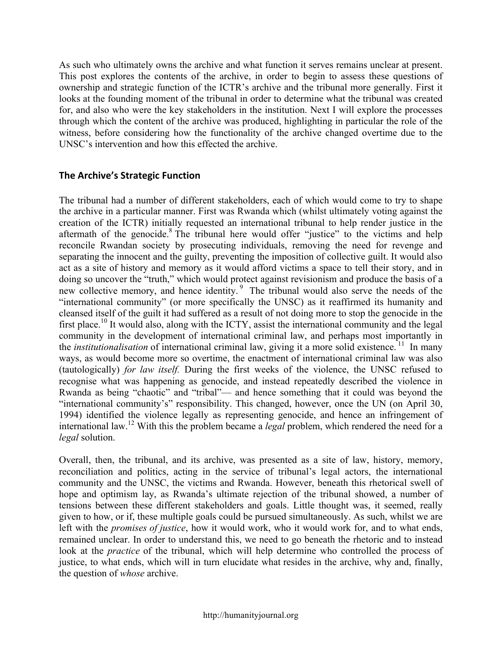As such who ultimately owns the archive and what function it serves remains unclear at present. This post explores the contents of the archive, in order to begin to assess these questions of ownership and strategic function of the ICTR's archive and the tribunal more generally. First it looks at the founding moment of the tribunal in order to determine what the tribunal was created for, and also who were the key stakeholders in the institution. Next I will explore the processes through which the content of the archive was produced, highlighting in particular the role of the witness, before considering how the functionality of the archive changed overtime due to the UNSC's intervention and how this effected the archive.

#### **The Archive's Strategic Function**

The tribunal had a number of different stakeholders, each of which would come to try to shape the archive in a particular manner. First was Rwanda which (whilst ultimately voting against the creation of the ICTR) initially requested an international tribunal to help render justice in the aftermath of the genocide.<sup>8</sup> The tribunal here would offer "justice" to the victims and help reconcile Rwandan society by prosecuting individuals, removing the need for revenge and separating the innocent and the guilty, preventing the imposition of collective guilt. It would also act as a site of history and memory as it would afford victims a space to tell their story, and in doing so uncover the "truth," which would protect against revisionism and produce the basis of a new collective memory, and hence identity. <sup>9</sup> The tribunal would also serve the needs of the "international community" (or more specifically the UNSC) as it reaffirmed its humanity and cleansed itself of the guilt it had suffered as a result of not doing more to stop the genocide in the first place.<sup>10</sup> It would also, along with the ICTY, assist the international community and the legal community in the development of international criminal law, and perhaps most importantly in the *institutionalisation* of international criminal law, giving it a more solid existence.<sup>11</sup> In many ways, as would become more so overtime, the enactment of international criminal law was also (tautologically) *for law itself.* During the first weeks of the violence, the UNSC refused to recognise what was happening as genocide, and instead repeatedly described the violence in Rwanda as being "chaotic" and "tribal"— and hence something that it could was beyond the "international community's" responsibility. This changed, however, once the UN (on April 30, 1994) identified the violence legally as representing genocide, and hence an infringement of international law.<sup>12</sup> With this the problem became a *legal* problem, which rendered the need for a *legal* solution.

Overall, then, the tribunal, and its archive, was presented as a site of law, history, memory, reconciliation and politics, acting in the service of tribunal's legal actors, the international community and the UNSC, the victims and Rwanda. However, beneath this rhetorical swell of hope and optimism lay, as Rwanda's ultimate rejection of the tribunal showed, a number of tensions between these different stakeholders and goals. Little thought was, it seemed, really given to how, or if, these multiple goals could be pursued simultaneously. As such, whilst we are left with the *promises of justice*, how it would work, who it would work for, and to what ends, remained unclear. In order to understand this, we need to go beneath the rhetoric and to instead look at the *practice* of the tribunal, which will help determine who controlled the process of justice, to what ends, which will in turn elucidate what resides in the archive, why and, finally, the question of *whose* archive.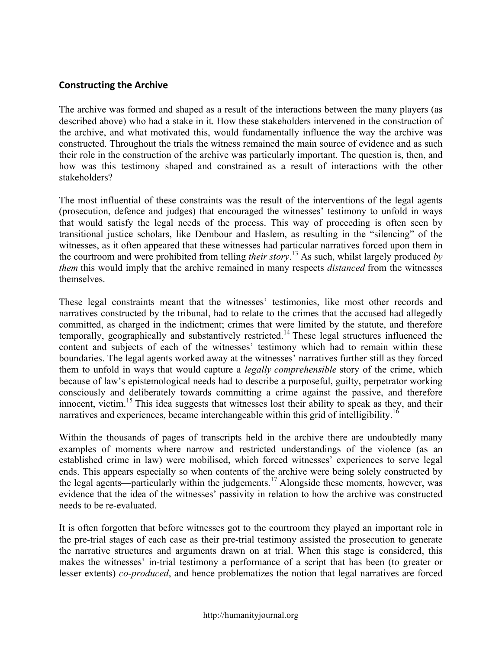#### **Constructing the Archive**

The archive was formed and shaped as a result of the interactions between the many players (as described above) who had a stake in it. How these stakeholders intervened in the construction of the archive, and what motivated this, would fundamentally influence the way the archive was constructed. Throughout the trials the witness remained the main source of evidence and as such their role in the construction of the archive was particularly important. The question is, then, and how was this testimony shaped and constrained as a result of interactions with the other stakeholders?

The most influential of these constraints was the result of the interventions of the legal agents (prosecution, defence and judges) that encouraged the witnesses' testimony to unfold in ways that would satisfy the legal needs of the process. This way of proceeding is often seen by transitional justice scholars, like Dembour and Haslem, as resulting in the "silencing" of the witnesses, as it often appeared that these witnesses had particular narratives forced upon them in the courtroom and were prohibited from telling *their story*. <sup>13</sup> As such, whilst largely produced *by them* this would imply that the archive remained in many respects *distanced* from the witnesses themselves.

These legal constraints meant that the witnesses' testimonies, like most other records and narratives constructed by the tribunal, had to relate to the crimes that the accused had allegedly committed, as charged in the indictment; crimes that were limited by the statute, and therefore temporally, geographically and substantively restricted.<sup>14</sup> These legal structures influenced the content and subjects of each of the witnesses' testimony which had to remain within these boundaries. The legal agents worked away at the witnesses' narratives further still as they forced them to unfold in ways that would capture a *legally comprehensible* story of the crime, which because of law's epistemological needs had to describe a purposeful, guilty, perpetrator working consciously and deliberately towards committing a crime against the passive, and therefore innocent, victim.<sup>15</sup> This idea suggests that witnesses lost their ability to speak as they, and their narratives and experiences, became interchangeable within this grid of intelligibility.<sup>16</sup>

Within the thousands of pages of transcripts held in the archive there are undoubtedly many examples of moments where narrow and restricted understandings of the violence (as an established crime in law) were mobilised, which forced witnesses' experiences to serve legal ends. This appears especially so when contents of the archive were being solely constructed by the legal agents—particularly within the judgements.<sup>17</sup> Alongside these moments, however, was evidence that the idea of the witnesses' passivity in relation to how the archive was constructed needs to be re-evaluated.

It is often forgotten that before witnesses got to the courtroom they played an important role in the pre-trial stages of each case as their pre-trial testimony assisted the prosecution to generate the narrative structures and arguments drawn on at trial. When this stage is considered, this makes the witnesses' in-trial testimony a performance of a script that has been (to greater or lesser extents) *co-produced*, and hence problematizes the notion that legal narratives are forced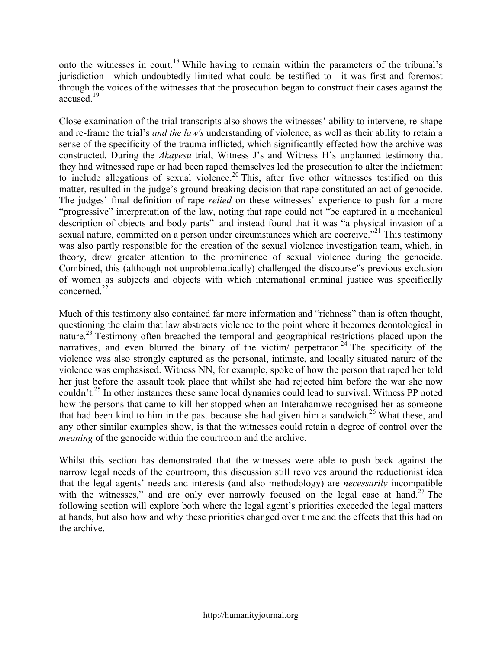onto the witnesses in court.<sup>18</sup> While having to remain within the parameters of the tribunal's jurisdiction—which undoubtedly limited what could be testified to—it was first and foremost through the voices of the witnesses that the prosecution began to construct their cases against the accused. 19

Close examination of the trial transcripts also shows the witnesses' ability to intervene, re-shape and re-frame the trial's *and the law's* understanding of violence, as well as their ability to retain a sense of the specificity of the trauma inflicted, which significantly effected how the archive was constructed. During the *Akayesu* trial, Witness J's and Witness H's unplanned testimony that they had witnessed rape or had been raped themselves led the prosecution to alter the indictment to include allegations of sexual violence.<sup>20</sup> This, after five other witnesses testified on this matter, resulted in the judge's ground-breaking decision that rape constituted an act of genocide. The judges' final definition of rape *relied* on these witnesses' experience to push for a more "progressive" interpretation of the law, noting that rape could not "be captured in a mechanical description of objects and body parts" and instead found that it was "a physical invasion of a sexual nature, committed on a person under circumstances which are coercive."<sup>21</sup> This testimony was also partly responsible for the creation of the sexual violence investigation team, which, in theory, drew greater attention to the prominence of sexual violence during the genocide. Combined, this (although not unproblematically) challenged the discourse"s previous exclusion of women as subjects and objects with which international criminal justice was specifically concerned.<sup>22</sup>

Much of this testimony also contained far more information and "richness" than is often thought, questioning the claim that law abstracts violence to the point where it becomes deontological in nature.<sup>23</sup> Testimony often breached the temporal and geographical restrictions placed upon the narratives, and even blurred the binary of the victim/ perpetrator.<sup>24</sup> The specificity of the violence was also strongly captured as the personal, intimate, and locally situated nature of the violence was emphasised. Witness NN, for example, spoke of how the person that raped her told her just before the assault took place that whilst she had rejected him before the war she now couldn't.<sup>25</sup> In other instances these same local dynamics could lead to survival. Witness PP noted how the persons that came to kill her stopped when an Interahamwe recognised her as someone that had been kind to him in the past because she had given him a sandwich.<sup>26</sup> What these, and any other similar examples show, is that the witnesses could retain a degree of control over the *meaning* of the genocide within the courtroom and the archive.

Whilst this section has demonstrated that the witnesses were able to push back against the narrow legal needs of the courtroom, this discussion still revolves around the reductionist idea that the legal agents' needs and interests (and also methodology) are *necessarily* incompatible with the witnesses," and are only ever narrowly focused on the legal case at hand.<sup>27</sup> The following section will explore both where the legal agent's priorities exceeded the legal matters at hands, but also how and why these priorities changed over time and the effects that this had on the archive.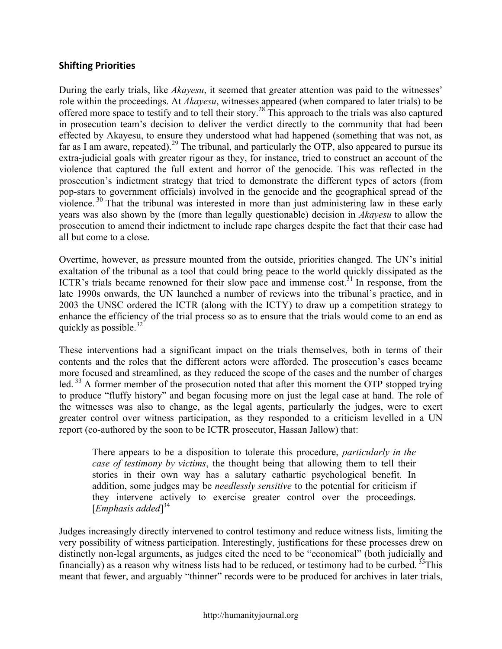#### **Shifting Priorities**

During the early trials, like *Akayesu*, it seemed that greater attention was paid to the witnesses' role within the proceedings. At *Akayesu*, witnesses appeared (when compared to later trials) to be offered more space to testify and to tell their story.<sup>28</sup> This approach to the trials was also captured in prosecution team's decision to deliver the verdict directly to the community that had been effected by Akayesu, to ensure they understood what had happened (something that was not, as far as I am aware, repeated).<sup>29</sup> The tribunal, and particularly the OTP, also appeared to pursue its extra-judicial goals with greater rigour as they, for instance, tried to construct an account of the violence that captured the full extent and horror of the genocide. This was reflected in the prosecution's indictment strategy that tried to demonstrate the different types of actors (from pop-stars to government officials) involved in the genocide and the geographical spread of the violence.<sup>30</sup> That the tribunal was interested in more than just administering law in these early years was also shown by the (more than legally questionable) decision in *Akayesu* to allow the prosecution to amend their indictment to include rape charges despite the fact that their case had all but come to a close.

Overtime, however, as pressure mounted from the outside, priorities changed. The UN's initial exaltation of the tribunal as a tool that could bring peace to the world quickly dissipated as the ICTR's trials became renowned for their slow pace and immense  $cost<sup>31</sup>$  In response, from the late 1990s onwards, the UN launched a number of reviews into the tribunal's practice, and in 2003 the UNSC ordered the ICTR (along with the ICTY) to draw up a competition strategy to enhance the efficiency of the trial process so as to ensure that the trials would come to an end as quickly as possible. $32$ 

These interventions had a significant impact on the trials themselves, both in terms of their contents and the roles that the different actors were afforded. The prosecution's cases became more focused and streamlined, as they reduced the scope of the cases and the number of charges led.<sup>33</sup> A former member of the prosecution noted that after this moment the OTP stopped trying to produce "fluffy history" and began focusing more on just the legal case at hand. The role of the witnesses was also to change, as the legal agents, particularly the judges, were to exert greater control over witness participation, as they responded to a criticism levelled in a UN report (co-authored by the soon to be ICTR prosecutor, Hassan Jallow) that:

There appears to be a disposition to tolerate this procedure, *particularly in the case of testimony by victims*, the thought being that allowing them to tell their stories in their own way has a salutary cathartic psychological benefit. In addition, some judges may be *needlessly sensitive* to the potential for criticism if they intervene actively to exercise greater control over the proceedings. [*Emphasis added*] 34

Judges increasingly directly intervened to control testimony and reduce witness lists, limiting the very possibility of witness participation. Interestingly, justifications for these processes drew on distinctly non-legal arguments, as judges cited the need to be "economical" (both judicially and financially) as a reason why witness lists had to be reduced, or testimony had to be curbed.  $35$ This meant that fewer, and arguably "thinner" records were to be produced for archives in later trials,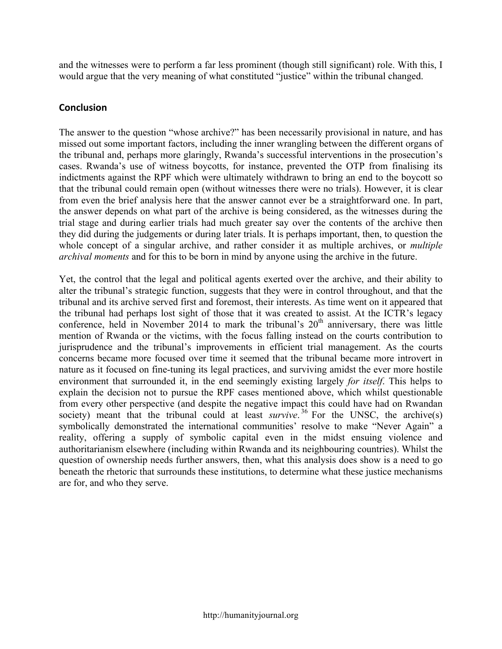and the witnesses were to perform a far less prominent (though still significant) role. With this, I would argue that the very meaning of what constituted "justice" within the tribunal changed.

#### **Conclusion**

The answer to the question "whose archive?" has been necessarily provisional in nature, and has missed out some important factors, including the inner wrangling between the different organs of the tribunal and, perhaps more glaringly, Rwanda's successful interventions in the prosecution's cases. Rwanda's use of witness boycotts, for instance, prevented the OTP from finalising its indictments against the RPF which were ultimately withdrawn to bring an end to the boycott so that the tribunal could remain open (without witnesses there were no trials). However, it is clear from even the brief analysis here that the answer cannot ever be a straightforward one. In part, the answer depends on what part of the archive is being considered, as the witnesses during the trial stage and during earlier trials had much greater say over the contents of the archive then they did during the judgements or during later trials. It is perhaps important, then, to question the whole concept of a singular archive, and rather consider it as multiple archives, or *multiple archival moments* and for this to be born in mind by anyone using the archive in the future.

Yet, the control that the legal and political agents exerted over the archive, and their ability to alter the tribunal's strategic function, suggests that they were in control throughout, and that the tribunal and its archive served first and foremost, their interests. As time went on it appeared that the tribunal had perhaps lost sight of those that it was created to assist. At the ICTR's legacy conference, held in November 2014 to mark the tribunal's  $20<sup>th</sup>$  anniversary, there was little mention of Rwanda or the victims, with the focus falling instead on the courts contribution to jurisprudence and the tribunal's improvements in efficient trial management. As the courts concerns became more focused over time it seemed that the tribunal became more introvert in nature as it focused on fine-tuning its legal practices, and surviving amidst the ever more hostile environment that surrounded it, in the end seemingly existing largely *for itself*. This helps to explain the decision not to pursue the RPF cases mentioned above, which whilst questionable from every other perspective (and despite the negative impact this could have had on Rwandan society) meant that the tribunal could at least *survive*.<sup>36</sup> For the UNSC, the archive(s) symbolically demonstrated the international communities' resolve to make "Never Again" a reality, offering a supply of symbolic capital even in the midst ensuing violence and authoritarianism elsewhere (including within Rwanda and its neighbouring countries). Whilst the question of ownership needs further answers, then, what this analysis does show is a need to go beneath the rhetoric that surrounds these institutions, to determine what these justice mechanisms are for, and who they serve.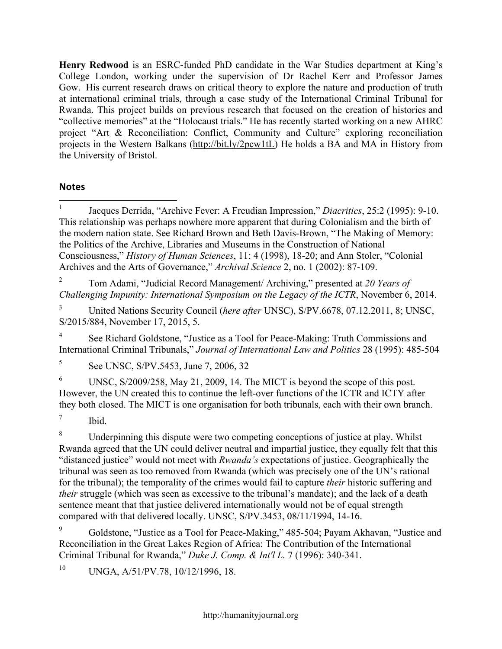**Henry Redwood** is an ESRC-funded PhD candidate in the War Studies department at King's College London, working under the supervision of Dr Rachel Kerr and Professor James Gow. His current research draws on critical theory to explore the nature and production of truth at international criminal trials, through a case study of the International Criminal Tribunal for Rwanda. This project builds on previous research that focused on the creation of histories and "collective memories" at the "Holocaust trials." He has recently started working on a new AHRC project "Art & Reconciliation: Conflict, Community and Culture" exploring reconciliation projects in the Western Balkans (http://bit.ly/2pcw1tL) He holds a BA and MA in History from the University of Bristol.

### **Notes**

 1 Jacques Derrida, "Archive Fever: A Freudian Impression," *Diacritics*, 25:2 (1995): 9-10. This relationship was perhaps nowhere more apparent that during Colonialism and the birth of the modern nation state. See Richard Brown and Beth Davis-Brown, "The Making of Memory: the Politics of the Archive, Libraries and Museums in the Construction of National Consciousness," *History of Human Sciences*, 11: 4 (1998), 18-20; and Ann Stoler, "Colonial Archives and the Arts of Governance," *Archival Science* 2, no. 1 (2002): 87-109.

<sup>2</sup> Tom Adami, "Judicial Record Management/ Archiving," presented at *20 Years of Challenging Impunity: International Symposium on the Legacy of the ICTR*, November 6, 2014.

<sup>3</sup> United Nations Security Council (*here after* UNSC), S/PV.6678, 07.12.2011, 8; UNSC, S/2015/884, November 17, 2015, 5.

See Richard Goldstone, "Justice as a Tool for Peace-Making: Truth Commissions and International Criminal Tribunals," *Journal of International Law and Politics* 28 (1995): 485-504

<sup>5</sup> See UNSC, S/PV.5453, June 7, 2006, 32

<sup>6</sup> UNSC, S/2009/258, May 21, 2009, 14. The MICT is beyond the scope of this post. However, the UN created this to continue the left-over functions of the ICTR and ICTY after they both closed. The MICT is one organisation for both tribunals, each with their own branch.

 $7$  Ibid.

<sup>8</sup> Underpinning this dispute were two competing conceptions of justice at play. Whilst Rwanda agreed that the UN could deliver neutral and impartial justice, they equally felt that this "distanced justice" would not meet with *Rwanda's* expectations of justice. Geographically the tribunal was seen as too removed from Rwanda (which was precisely one of the UN's rational for the tribunal); the temporality of the crimes would fail to capture *their* historic suffering and *their* struggle (which was seen as excessive to the tribunal's mandate); and the lack of a death sentence meant that that justice delivered internationally would not be of equal strength compared with that delivered locally. UNSC, S/PV.3453, 08/11/1994, 14-16.

Goldstone, "Justice as a Tool for Peace-Making," 485-504; Payam Akhavan, "Justice and Reconciliation in the Great Lakes Region of Africa: The Contribution of the International Criminal Tribunal for Rwanda," *Duke J. Comp. & Int'l L.* 7 (1996): 340-341.

 $10$  UNGA, A/51/PV.78, 10/12/1996, 18.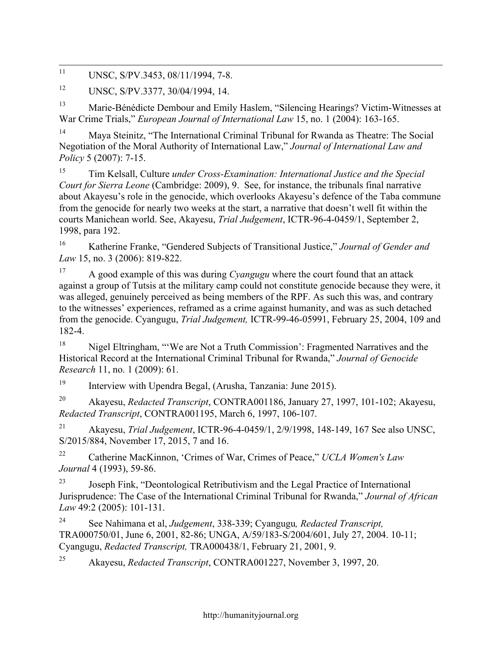<sup>11</sup> UNSC, S/PV.3453, 08/11/1994, 7-8.

<sup>12</sup> UNSC, S/PV.3377, 30/04/1994, 14.

<sup>13</sup> Marie-Bénédicte Dembour and Emily Haslem, "Silencing Hearings? Victim-Witnesses at War Crime Trials," *European Journal of International Law* 15, no. 1 (2004): 163-165.

<sup>14</sup> Maya Steinitz, "The International Criminal Tribunal for Rwanda as Theatre: The Social Negotiation of the Moral Authority of International Law," *Journal of International Law and Policy* 5 (2007): 7-15.

<sup>15</sup> Tim Kelsall, Culture *under Cross-Examination: International Justice and the Special Court for Sierra Leone* (Cambridge: 2009), 9. See, for instance, the tribunals final narrative about Akayesu's role in the genocide, which overlooks Akayesu's defence of the Taba commune from the genocide for nearly two weeks at the start, a narrative that doesn't well fit within the courts Manichean world. See, Akayesu, *Trial Judgement*, ICTR-96-4-0459/1, September 2, 1998, para 192.

<sup>16</sup> Katherine Franke, "Gendered Subjects of Transitional Justice," *Journal of Gender and Law* 15, no. 3 (2006): 819-822.

<sup>17</sup> A good example of this was during *Cyangugu* where the court found that an attack against a group of Tutsis at the military camp could not constitute genocide because they were, it was alleged, genuinely perceived as being members of the RPF. As such this was, and contrary to the witnesses' experiences, reframed as a crime against humanity, and was as such detached from the genocide. Cyangugu, *Trial Judgement,* ICTR-99-46-05991, February 25, 2004, 109 and 182-4.

<sup>18</sup> Nigel Eltringham, "'We are Not a Truth Commission': Fragmented Narratives and the Historical Record at the International Criminal Tribunal for Rwanda," *Journal of Genocide Research* 11, no. 1 (2009): 61.

<sup>19</sup> Interview with Upendra Begal, (Arusha, Tanzania: June 2015).

<sup>20</sup> Akayesu, *Redacted Transcript*, CONTRA001186, January 27, 1997, 101-102; Akayesu, *Redacted Transcript*, CONTRA001195, March 6, 1997, 106-107.

<sup>21</sup> Akayesu, *Trial Judgement*, ICTR-96-4-0459/1, 2/9/1998, 148-149, 167 See also UNSC, S/2015/884, November 17, 2015, 7 and 16.

<sup>22</sup> Catherine MacKinnon, 'Crimes of War, Crimes of Peace," *UCLA Women's Law Journal* 4 (1993), 59-86.

<sup>23</sup> Joseph Fink, "Deontological Retributivism and the Legal Practice of International Jurisprudence: The Case of the International Criminal Tribunal for Rwanda," *Journal of African Law* 49:2 (2005): 101-131.

<sup>24</sup> See Nahimana et al, *Judgement*, 338-339; Cyangugu*, Redacted Transcript,* TRA000750/01, June 6, 2001, 82-86; UNGA, A/59/183-S/2004/601, July 27, 2004. 10-11; Cyangugu, *Redacted Transcript,* TRA000438/1, February 21, 2001, 9.

<sup>25</sup> Akayesu, *Redacted Transcript*, CONTRA001227, November 3, 1997, 20.